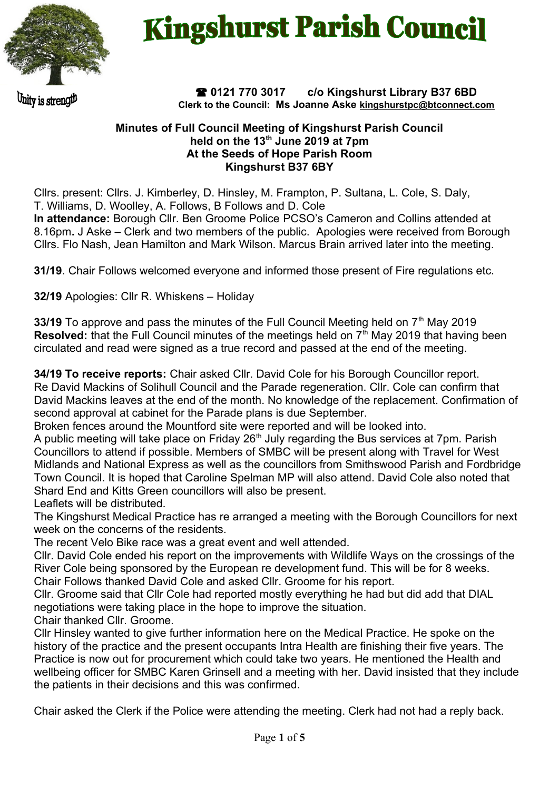

# **Kingshurst Parish Council**

<sup>J</sup>uity is streng<sup>ty</sup>

 **0121 770 3017 c/o Kingshurst Library B37 6BD Clerk to the Council: Ms Joanne Aske [kingshurstpc@btconnect.com](mailto:kingshurstpc@btconnect.com)**

#### **Minutes of Full Council Meeting of Kingshurst Parish Council held on the 13th June 2019 at 7pm At the Seeds of Hope Parish Room Kingshurst B37 6BY**

Cllrs. present: Cllrs. J. Kimberley, D. Hinsley, M. Frampton, P. Sultana, L. Cole, S. Daly, T. Williams, D. Woolley, A. Follows, B Follows and D. Cole

**In attendance:** Borough Cllr. Ben Groome Police PCSO's Cameron and Collins attended at 8.16pm**.** J Aske – Clerk and two members of the public. Apologies were received from Borough Cllrs. Flo Nash, Jean Hamilton and Mark Wilson. Marcus Brain arrived later into the meeting.

**31/19**. Chair Follows welcomed everyone and informed those present of Fire regulations etc.

**32/19** Apologies: Cllr R. Whiskens – Holiday

**33/19** To approve and pass the minutes of the Full Council Meeting held on 7<sup>th</sup> May 2019 **Resolved:** that the Full Council minutes of the meetings held on 7<sup>th</sup> May 2019 that having been circulated and read were signed as a true record and passed at the end of the meeting.

**34/19 To receive reports:** Chair asked Cllr. David Cole for his Borough Councillor report. Re David Mackins of Solihull Council and the Parade regeneration. Cllr. Cole can confirm that David Mackins leaves at the end of the month. No knowledge of the replacement. Confirmation of second approval at cabinet for the Parade plans is due September.

Broken fences around the Mountford site were reported and will be looked into.

A public meeting will take place on Friday 26<sup>th</sup> July regarding the Bus services at 7pm. Parish Councillors to attend if possible. Members of SMBC will be present along with Travel for West Midlands and National Express as well as the councillors from Smithswood Parish and Fordbridge Town Council. It is hoped that Caroline Spelman MP will also attend. David Cole also noted that Shard End and Kitts Green councillors will also be present.

Leaflets will be distributed.

The Kingshurst Medical Practice has re arranged a meeting with the Borough Councillors for next week on the concerns of the residents.

The recent Velo Bike race was a great event and well attended.

Cllr. David Cole ended his report on the improvements with Wildlife Ways on the crossings of the River Cole being sponsored by the European re development fund. This will be for 8 weeks. Chair Follows thanked David Cole and asked Cllr. Groome for his report.

Cllr. Groome said that Cllr Cole had reported mostly everything he had but did add that DIAL negotiations were taking place in the hope to improve the situation.

Chair thanked Cllr. Groome.

Cllr Hinsley wanted to give further information here on the Medical Practice. He spoke on the history of the practice and the present occupants Intra Health are finishing their five years. The Practice is now out for procurement which could take two years. He mentioned the Health and wellbeing officer for SMBC Karen Grinsell and a meeting with her. David insisted that they include the patients in their decisions and this was confirmed.

Chair asked the Clerk if the Police were attending the meeting. Clerk had not had a reply back.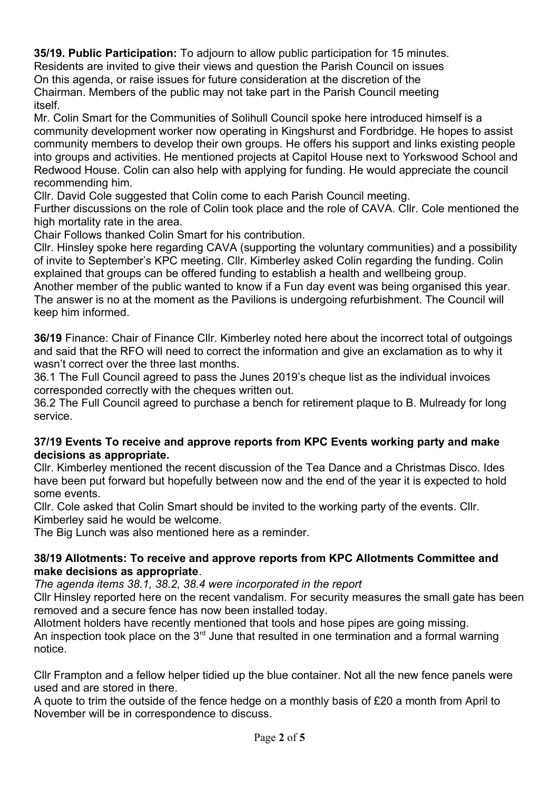**35/19. Public Participation:** To adjourn to allow public participation for 15 minutes. Residents are invited to give their views and question the Parish Council on issues On this agenda, or raise issues for future consideration at the discretion of the Chairman. Members of the public may not take part in the Parish Council meeting itself.

Mr. Colin Smart for the Communities of Solihull Council spoke here introduced himself is a community development worker now operating in Kingshurst and Fordbridge. He hopes to assist community members to develop their own groups. He offers his support and links existing people into groups and activities. He mentioned projects at Capitol House next to Yorkswood School and Redwood House. Colin can also help with applying for funding. He would appreciate the council recommending him.

Cllr. David Cole suggested that Colin come to each Parish Council meeting.

Further discussions on the role of Colin took place and the role of CAVA. Cllr. Cole mentioned the high mortality rate in the area.

Chair Follows thanked Colin Smart for his contribution.

Cllr. Hinsley spoke here regarding CAVA (supporting the voluntary communities) and a possibility of invite to September's KPC meeting. Cllr. Kimberley asked Colin regarding the funding. Colin explained that groups can be offered funding to establish a health and wellbeing group.

Another member of the public wanted to know if a Fun day event was being organised this year. The answer is no at the moment as the Pavilions is undergoing refurbishment. The Council will keep him informed.

**36/19** Finance: Chair of Finance Cllr. Kimberley noted here about the incorrect total of outgoings and said that the RFO will need to correct the information and give an exclamation as to why it wasn't correct over the three last months.

36.1 The Full Council agreed to pass the Junes 2019's cheque list as the individual invoices corresponded correctly with the cheques written out.

36.2 The Full Council agreed to purchase a bench for retirement plaque to B. Mulready for long service.

#### **37/19 Events To receive and approve reports from KPC Events working party and make decisions as appropriate.**

Cllr. Kimberley mentioned the recent discussion of the Tea Dance and a Christmas Disco. Ides have been put forward but hopefully between now and the end of the year it is expected to hold some events.

Cllr. Cole asked that Colin Smart should be invited to the working party of the events. Cllr. Kimberley said he would be welcome.

The Big Lunch was also mentioned here as a reminder.

#### **38/19 Allotments: To receive and approve reports from KPC Allotments Committee and make decisions as appropriate**.

*The agenda items 38.1, 38.2, 38.4 were incorporated in the report*

Cllr Hinsley reported here on the recent vandalism. For security measures the small gate has been removed and a secure fence has now been installed today.

Allotment holders have recently mentioned that tools and hose pipes are going missing. An inspection took place on the  $3<sup>rd</sup>$  June that resulted in one termination and a formal warning notice.

Cllr Frampton and a fellow helper tidied up the blue container. Not all the new fence panels were used and are stored in there.

A quote to trim the outside of the fence hedge on a monthly basis of £20 a month from April to November will be in correspondence to discuss.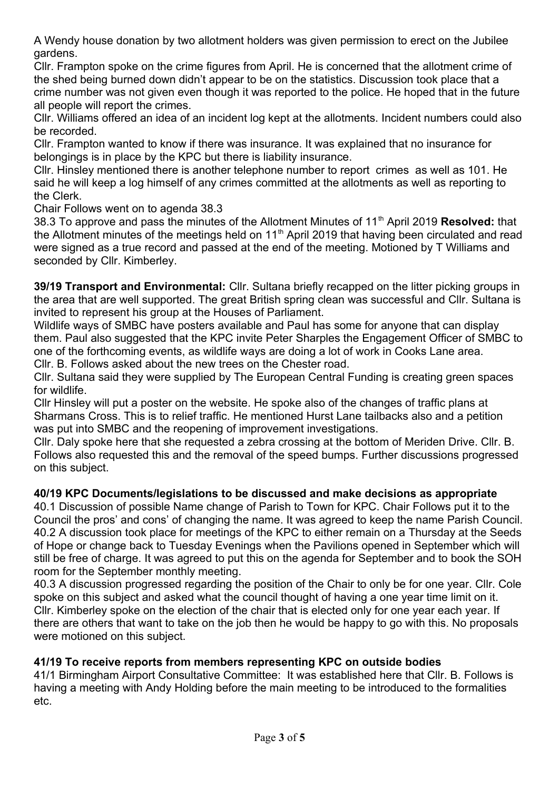A Wendy house donation by two allotment holders was given permission to erect on the Jubilee gardens.

Cllr. Frampton spoke on the crime figures from April. He is concerned that the allotment crime of the shed being burned down didn't appear to be on the statistics. Discussion took place that a crime number was not given even though it was reported to the police. He hoped that in the future all people will report the crimes.

Cllr. Williams offered an idea of an incident log kept at the allotments. Incident numbers could also be recorded.

Cllr. Frampton wanted to know if there was insurance. It was explained that no insurance for belongings is in place by the KPC but there is liability insurance.

Cllr. Hinsley mentioned there is another telephone number to report crimes as well as 101. He said he will keep a log himself of any crimes committed at the allotments as well as reporting to the Clerk.

Chair Follows went on to agenda 38.3

38.3 To approve and pass the minutes of the Allotment Minutes of 11th April 2019 **Resolved:** that the Allotment minutes of the meetings held on 11<sup>th</sup> April 2019 that having been circulated and read were signed as a true record and passed at the end of the meeting. Motioned by T Williams and seconded by Cllr. Kimberley.

**39/19 Transport and Environmental:** Cllr. Sultana briefly recapped on the litter picking groups in the area that are well supported. The great British spring clean was successful and Cllr. Sultana is invited to represent his group at the Houses of Parliament.

Wildlife ways of SMBC have posters available and Paul has some for anyone that can display them. Paul also suggested that the KPC invite Peter Sharples the Engagement Officer of SMBC to one of the forthcoming events, as wildlife ways are doing a lot of work in Cooks Lane area. Cllr. B. Follows asked about the new trees on the Chester road.

Cllr. Sultana said they were supplied by The European Central Funding is creating green spaces for wildlife.

Cllr Hinsley will put a poster on the website. He spoke also of the changes of traffic plans at Sharmans Cross. This is to relief traffic. He mentioned Hurst Lane tailbacks also and a petition was put into SMBC and the reopening of improvement investigations.

Cllr. Daly spoke here that she requested a zebra crossing at the bottom of Meriden Drive. Cllr. B. Follows also requested this and the removal of the speed bumps. Further discussions progressed on this subject.

### **40/19 KPC Documents/legislations to be discussed and make decisions as appropriate**

40.1 Discussion of possible Name change of Parish to Town for KPC. Chair Follows put it to the Council the pros' and cons' of changing the name. It was agreed to keep the name Parish Council. 40.2 A discussion took place for meetings of the KPC to either remain on a Thursday at the Seeds of Hope or change back to Tuesday Evenings when the Pavilions opened in September which will still be free of charge. It was agreed to put this on the agenda for September and to book the SOH room for the September monthly meeting.

40.3 A discussion progressed regarding the position of the Chair to only be for one year. Cllr. Cole spoke on this subject and asked what the council thought of having a one year time limit on it. Cllr. Kimberley spoke on the election of the chair that is elected only for one year each year. If there are others that want to take on the job then he would be happy to go with this. No proposals were motioned on this subject.

### **41/19 To receive reports from members representing KPC on outside bodies**

41/1 Birmingham Airport Consultative Committee: It was established here that Cllr. B. Follows is having a meeting with Andy Holding before the main meeting to be introduced to the formalities etc.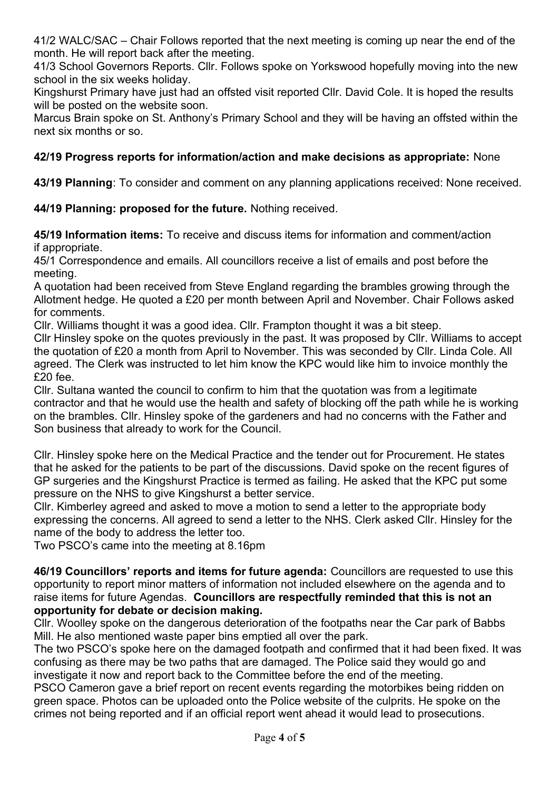41/2 WALC/SAC – Chair Follows reported that the next meeting is coming up near the end of the month. He will report back after the meeting.

41/3 School Governors Reports. Cllr. Follows spoke on Yorkswood hopefully moving into the new school in the six weeks holiday.

Kingshurst Primary have just had an offsted visit reported Cllr. David Cole. It is hoped the results will be posted on the website soon.

Marcus Brain spoke on St. Anthony's Primary School and they will be having an offsted within the next six months or so.

## **42/19 Progress reports for information/action and make decisions as appropriate:** None

**43/19 Planning**: To consider and comment on any planning applications received: None received.

**44/19 Planning: proposed for the future.** Nothing received.

**45/19 Information items:** To receive and discuss items for information and comment/action if appropriate.

45/1 Correspondence and emails. All councillors receive a list of emails and post before the meeting.

A quotation had been received from Steve England regarding the brambles growing through the Allotment hedge. He quoted a £20 per month between April and November. Chair Follows asked for comments.

Cllr. Williams thought it was a good idea. Cllr. Frampton thought it was a bit steep.

Cllr Hinsley spoke on the quotes previously in the past. It was proposed by Cllr. Williams to accept the quotation of £20 a month from April to November. This was seconded by Cllr. Linda Cole. All agreed. The Clerk was instructed to let him know the KPC would like him to invoice monthly the £20 fee.

Cllr. Sultana wanted the council to confirm to him that the quotation was from a legitimate contractor and that he would use the health and safety of blocking off the path while he is working on the brambles. Cllr. Hinsley spoke of the gardeners and had no concerns with the Father and Son business that already to work for the Council.

Cllr. Hinsley spoke here on the Medical Practice and the tender out for Procurement. He states that he asked for the patients to be part of the discussions. David spoke on the recent figures of GP surgeries and the Kingshurst Practice is termed as failing. He asked that the KPC put some pressure on the NHS to give Kingshurst a better service.

Cllr. Kimberley agreed and asked to move a motion to send a letter to the appropriate body expressing the concerns. All agreed to send a letter to the NHS. Clerk asked Cllr. Hinsley for the name of the body to address the letter too.

Two PSCO's came into the meeting at 8.16pm

**46/19 Councillors' reports and items for future agenda:** Councillors are requested to use this opportunity to report minor matters of information not included elsewhere on the agenda and to raise items for future Agendas. **Councillors are respectfully reminded that this is not an opportunity for debate or decision making.**

Cllr. Woolley spoke on the dangerous deterioration of the footpaths near the Car park of Babbs Mill. He also mentioned waste paper bins emptied all over the park.

The two PSCO's spoke here on the damaged footpath and confirmed that it had been fixed. It was confusing as there may be two paths that are damaged. The Police said they would go and investigate it now and report back to the Committee before the end of the meeting.

PSCO Cameron gave a brief report on recent events regarding the motorbikes being ridden on green space. Photos can be uploaded onto the Police website of the culprits. He spoke on the crimes not being reported and if an official report went ahead it would lead to prosecutions.